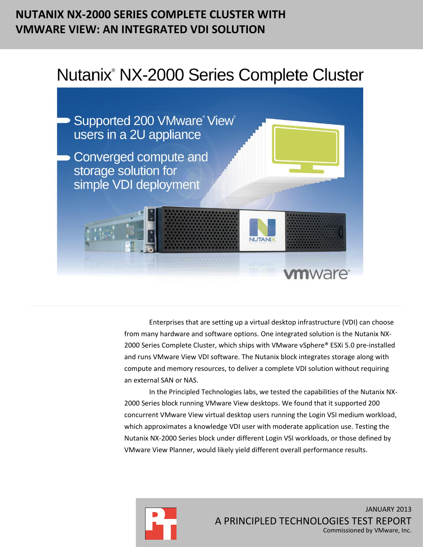## **NUTANIX NX-2000 SERIES COMPLETE CLUSTER WITH VMWARE VIEW: AN INTEGRATED VDI SOLUTION**

# Nutanix<sup>®</sup> NX-2000 Series Complete Cluster



Enterprises that are setting up a virtual desktop infrastructure (VDI) can choose from many hardware and software options. One integrated solution is the Nutanix NX-2000 Series Complete Cluster, which ships with VMware vSphere® ESXi 5.0 pre-installed and runs VMware View VDI software. The Nutanix block integrates storage along with compute and memory resources, to deliver a complete VDI solution without requiring an external SAN or NAS.

In the Principled Technologies labs, we tested the capabilities of the Nutanix NX-2000 Series block running VMware View desktops. We found that it supported 200 concurrent VMware View virtual desktop users running the Login VSI medium workload, which approximates a knowledge VDI user with moderate application use. Testing the Nutanix NX-2000 Series block under different Login VSI workloads, or those defined by VMware View Planner, would likely yield different overall performance results.

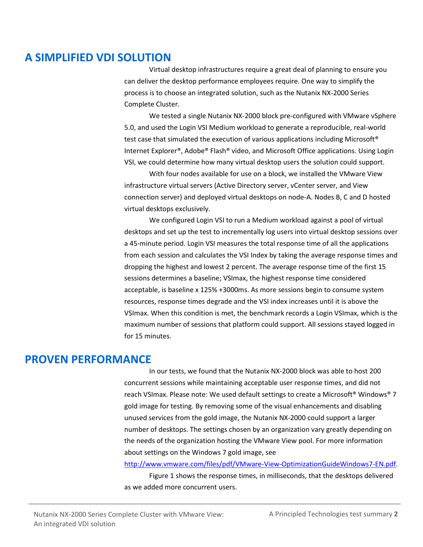### **A SIMPLIFIED VDI SOLUTION**

Virtual desktop infrastructures require a great deal of planning to ensure you can deliver the desktop performance employees require. One way to simplify the process is to choose an integrated solution, such as the Nutanix NX-2000 Series Complete Cluster.

We tested a single Nutanix NX-2000 block pre-configured with VMware vSphere 5.0, and used the Login VSI Medium workload to generate a reproducible, real-world test case that simulated the execution of various applications including Microsoft® Internet Explorer®, Adobe® Flash® video, and Microsoft Office applications. Using Login VSI, we could determine how many virtual desktop users the solution could support.

With four nodes available for use on a block, we installed the VMware View infrastructure virtual servers (Active Directory server, vCenter server, and View connection server) and deployed virtual desktops on node-A. Nodes B, C and D hosted virtual desktops exclusively.

We configured Login VSI to run a Medium workload against a pool of virtual desktops and set up the test to incrementally log users into virtual desktop sessions over a 45-minute period. Login VSI measures the total response time of all the applications from each session and calculates the VSI Index by taking the average response times and dropping the highest and lowest 2 percent. The average response time of the first 15 sessions determines a baseline; VSImax, the highest response time considered acceptable, is baseline x 125% +3000ms. As more sessions begin to consume system resources, response times degrade and the VSI index increases until it is above the VSImax. When this condition is met, the benchmark records a Login VSImax, which is the maximum number of sessions that platform could support. All sessions stayed logged in for 15 minutes.

### **PROVEN PERFORMANCE**

In our tests, we found that the Nutanix NX-2000 block was able to host 200 concurrent sessions while maintaining acceptable user response times, and did not reach VSImax. Please note: We used default settings to create a Microsoft® Windows® 7 gold image for testing. By removing some of the visual enhancements and disabling unused services from the gold image, the Nutanix NX-2000 could support a larger number of desktops. The settings chosen by an organization vary greatly depending on the needs of the organization hosting the VMware View pool. For more information about settings on the Windows 7 gold image, see

[http://www.vmware.com/files/pdf/VMware-View-OptimizationGuideWindows7-EN.pdf.](http://www.vmware.com/files/pdf/VMware-View-OptimizationGuideWindows7-EN.pdf)

Figure 1 shows the response times, in milliseconds, that the desktops delivered as we added more concurrent users.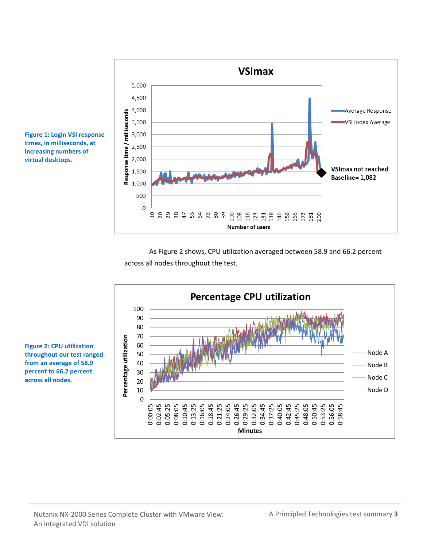

**Figure 1: Login VSI response times, in milliseconds, at increasing numbers of virtual desktops.**

> As Figure 2 shows, CPU utilization averaged between 58.9 and 66.2 percent across all nodes throughout the test.



**Figure 2: CPU utilization throughout our test ranged from an average of 58.9 percent to 66.2 percent across all nodes.**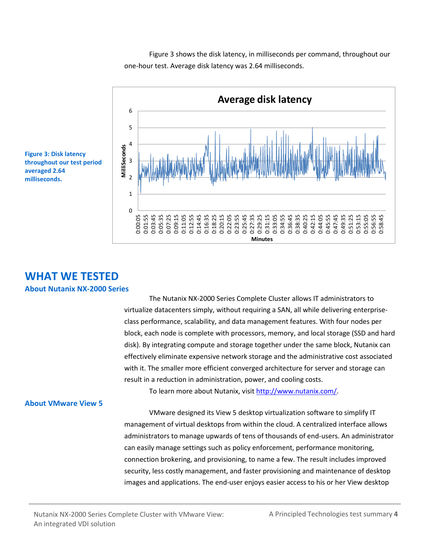Figure 3 shows the disk latency, in milliseconds per command, throughout our one-hour test. Average disk latency was 2.64 milliseconds.



**Figure 3: Disk latency throughout our test period averaged 2.64 milliseconds.**

## **WHAT WE TESTED**

#### **About Nutanix NX-2000 Series**

The Nutanix NX-2000 Series Complete Cluster allows IT administrators to virtualize datacenters simply, without requiring a SAN, all while delivering enterpriseclass performance, scalability, and data management features. With four nodes per block, each node is complete with processors, memory, and local storage (SSD and hard disk). By integrating compute and storage together under the same block, Nutanix can effectively eliminate expensive network storage and the administrative cost associated with it. The smaller more efficient converged architecture for server and storage can result in a reduction in administration, power, and cooling costs.

To learn more about Nutanix, visit [http://www.nutanix.com/.](http://www.nutanix.com/)

#### **About VMware View 5**

VMware designed its View 5 desktop virtualization software to simplify IT management of virtual desktops from within the cloud. A centralized interface allows administrators to manage upwards of tens of thousands of end-users. An administrator can easily manage settings such as policy enforcement, performance monitoring, connection brokering, and provisioning, to name a few. The result includes improved security, less costly management, and faster provisioning and maintenance of desktop images and applications. The end-user enjoys easier access to his or her View desktop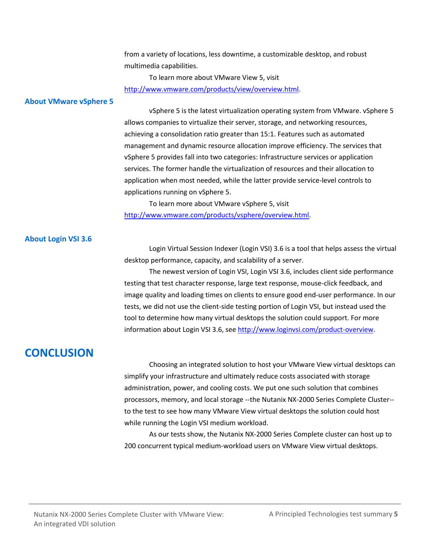from a variety of locations, less downtime, a customizable desktop, and robust multimedia capabilities.

To learn more about VMware View 5, visit [http://www.vmware.com/products/view/overview.html.](http://www.vmware.com/products/view/overview.html)

#### **About VMware vSphere 5**

vSphere 5 is the latest virtualization operating system from VMware. vSphere 5 allows companies to virtualize their server, storage, and networking resources, achieving a consolidation ratio greater than 15:1. Features such as automated management and dynamic resource allocation improve efficiency. The services that vSphere 5 provides fall into two categories: Infrastructure services or application services. The former handle the virtualization of resources and their allocation to application when most needed, while the latter provide service-level controls to applications running on vSphere 5.

To learn more about VMware vSphere 5, visit [http://www.vmware.com/products/vsphere/overview.html.](http://www.vmware.com/products/vsphere/overview.html)

#### **About Login VSI 3.6**

Login Virtual Session Indexer (Login VSI) 3.6 is a tool that helps assess the virtual desktop performance, capacity, and scalability of a server.

The newest version of Login VSI, Login VSI 3.6, includes client side performance testing that test character response, large text response, mouse-click feedback, and image quality and loading times on clients to ensure good end-user performance. In our tests, we did not use the client-side testing portion of Login VSI, but instead used the tool to determine how many virtual desktops the solution could support. For more information about Login VSI 3.6, see [http://www.loginvsi.com/product-overview.](http://www.loginvsi.com/product-overview)

### **CONCLUSION**

Choosing an integrated solution to host your VMware View virtual desktops can simplify your infrastructure and ultimately reduce costs associated with storage administration, power, and cooling costs. We put one such solution that combines processors, memory, and local storage --the Nutanix NX-2000 Series Complete Cluster- to the test to see how many VMware View virtual desktops the solution could host while running the Login VSI medium workload.

As our tests show, the Nutanix NX-2000 Series Complete cluster can host up to 200 concurrent typical medium-workload users on VMware View virtual desktops.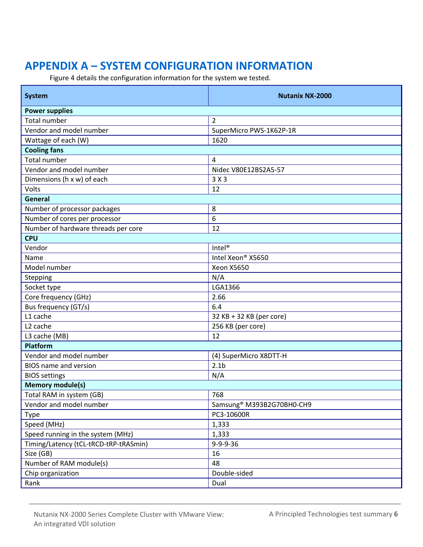## **APPENDIX A – SYSTEM CONFIGURATION INFORMATION**

Figure 4 details the configuration information for the system we tested.

| <b>System</b>                         | <b>Nutanix NX-2000</b>                |  |  |  |  |
|---------------------------------------|---------------------------------------|--|--|--|--|
| <b>Power supplies</b>                 |                                       |  |  |  |  |
| <b>Total number</b>                   | $\overline{2}$                        |  |  |  |  |
| Vendor and model number               | SuperMicro PWS-1K62P-1R               |  |  |  |  |
| Wattage of each (W)                   | 1620                                  |  |  |  |  |
| <b>Cooling fans</b>                   |                                       |  |  |  |  |
| <b>Total number</b>                   | $\overline{4}$                        |  |  |  |  |
| Vendor and model number               | Nidec V80E12BS2A5-57                  |  |  |  |  |
| Dimensions (h x w) of each            | 3X3                                   |  |  |  |  |
| Volts                                 | 12                                    |  |  |  |  |
| <b>General</b>                        |                                       |  |  |  |  |
| Number of processor packages          | 8                                     |  |  |  |  |
| Number of cores per processor         | 6                                     |  |  |  |  |
| Number of hardware threads per core   | 12                                    |  |  |  |  |
| <b>CPU</b>                            |                                       |  |  |  |  |
| Vendor                                | Intel <sup>®</sup>                    |  |  |  |  |
| Name                                  | Intel Xeon® X5650                     |  |  |  |  |
| Model number                          | <b>Xeon X5650</b>                     |  |  |  |  |
| Stepping                              | N/A                                   |  |  |  |  |
| Socket type                           | LGA1366                               |  |  |  |  |
| Core frequency (GHz)                  | 2.66                                  |  |  |  |  |
| Bus frequency (GT/s)                  | 6.4                                   |  |  |  |  |
| L1 cache                              | 32 KB + 32 KB (per core)              |  |  |  |  |
| L <sub>2</sub> cache                  | 256 KB (per core)                     |  |  |  |  |
| L3 cache (MB)                         | 12                                    |  |  |  |  |
| <b>Platform</b>                       |                                       |  |  |  |  |
| Vendor and model number               | (4) SuperMicro X8DTT-H                |  |  |  |  |
| <b>BIOS</b> name and version          | 2.1 <sub>b</sub>                      |  |  |  |  |
| <b>BIOS settings</b>                  | N/A                                   |  |  |  |  |
| <b>Memory module(s)</b>               |                                       |  |  |  |  |
| Total RAM in system (GB)              | 768                                   |  |  |  |  |
| Vendor and model number               | Samsung <sup>®</sup> M393B2G70BH0-CH9 |  |  |  |  |
| Type                                  | PC3-10600R                            |  |  |  |  |
| Speed (MHz)                           | 1,333                                 |  |  |  |  |
| Speed running in the system (MHz)     | 1,333                                 |  |  |  |  |
| Timing/Latency (tCL-tRCD-tRP-tRASmin) | $9 - 9 - 9 - 36$                      |  |  |  |  |
| Size (GB)                             | 16                                    |  |  |  |  |
| Number of RAM module(s)               | 48                                    |  |  |  |  |
| Chip organization                     | Double-sided                          |  |  |  |  |
| Rank                                  | Dual                                  |  |  |  |  |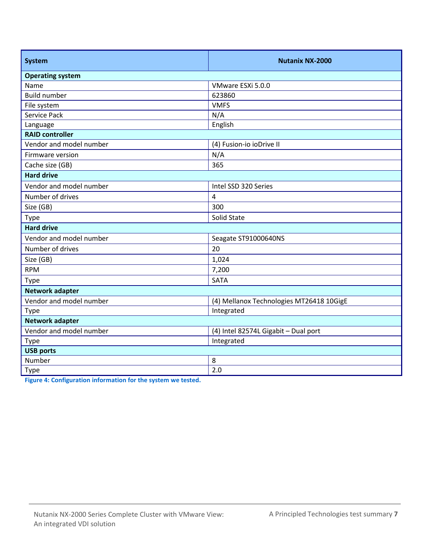| <b>System</b>           | <b>Nutanix NX-2000</b>                   |  |  |  |
|-------------------------|------------------------------------------|--|--|--|
| <b>Operating system</b> |                                          |  |  |  |
| Name                    | VMware ESXi 5.0.0                        |  |  |  |
| <b>Build number</b>     | 623860                                   |  |  |  |
| File system             | <b>VMFS</b>                              |  |  |  |
| Service Pack            | N/A                                      |  |  |  |
| Language                | English                                  |  |  |  |
| <b>RAID controller</b>  |                                          |  |  |  |
| Vendor and model number | (4) Fusion-io ioDrive II                 |  |  |  |
| Firmware version        | N/A                                      |  |  |  |
| Cache size (GB)         | 365                                      |  |  |  |
| <b>Hard drive</b>       |                                          |  |  |  |
| Vendor and model number | Intel SSD 320 Series                     |  |  |  |
| Number of drives        | 4                                        |  |  |  |
| Size (GB)               | 300                                      |  |  |  |
| Type                    | Solid State                              |  |  |  |
| <b>Hard drive</b>       |                                          |  |  |  |
| Vendor and model number | Seagate ST91000640NS                     |  |  |  |
| Number of drives        | 20                                       |  |  |  |
| Size (GB)               | 1,024                                    |  |  |  |
| <b>RPM</b>              | 7,200                                    |  |  |  |
| <b>Type</b>             | <b>SATA</b>                              |  |  |  |
| <b>Network adapter</b>  |                                          |  |  |  |
| Vendor and model number | (4) Mellanox Technologies MT26418 10GigE |  |  |  |
| Type                    | Integrated                               |  |  |  |
| <b>Network adapter</b>  |                                          |  |  |  |
| Vendor and model number | (4) Intel 82574L Gigabit - Dual port     |  |  |  |
| <b>Type</b>             | Integrated                               |  |  |  |
| <b>USB ports</b>        |                                          |  |  |  |
| Number                  | 8                                        |  |  |  |
| Type                    | 2.0                                      |  |  |  |

**Figure 4: Configuration information for the system we tested.**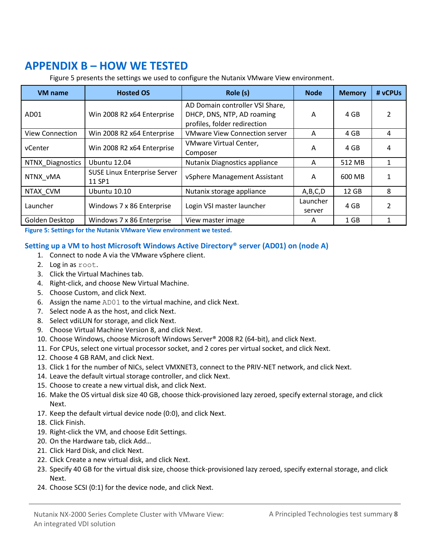## **APPENDIX B – HOW WE TESTED**

Figure 5 presents the settings we used to configure the Nutanix VMware View environment.

| <b>VM</b> name         | <b>Hosted OS</b>                              | Role (s)                                                                                      | <b>Node</b>        | <b>Memory</b> | # vCPUs |
|------------------------|-----------------------------------------------|-----------------------------------------------------------------------------------------------|--------------------|---------------|---------|
| AD <sub>01</sub>       | Win 2008 R2 x64 Enterprise                    | AD Domain controller VSI Share,<br>DHCP, DNS, NTP, AD roaming<br>profiles, folder redirection | A                  | 4 GB          | 2       |
| <b>View Connection</b> | Win 2008 R2 x64 Enterprise                    | <b>VMware View Connection server</b>                                                          | A                  | 4 GB          | 4       |
| vCenter                | Win 2008 R2 x64 Enterprise                    | VMware Virtual Center,<br>Composer                                                            | A                  | 4 GB          | 4       |
| NTNX Diagnostics       | Ubuntu 12.04                                  | Nutanix Diagnostics appliance                                                                 | A                  | 512 MB        | 1       |
| NTNX vMA               | <b>SUSE Linux Enterprise Server</b><br>11 SP1 | vSphere Management Assistant                                                                  | A                  | 600 MB        |         |
| NTAX CVM               | <b>Ubuntu 10.10</b>                           | Nutanix storage appliance                                                                     | A,B,C,D            | 12 GB         | 8       |
| Launcher               | Windows 7 x 86 Enterprise                     | Login VSI master launcher                                                                     | Launcher<br>server | 4 GB          | 2       |
| Golden Desktop         | Windows 7 x 86 Enterprise                     | View master image                                                                             | A                  | $1$ GB        |         |

**Figure 5: Settings for the Nutanix VMware View environment we tested.**

#### **Setting up a VM to host Microsoft Windows Active Directory® server (AD01) on (node A)**

- 1. Connect to node A via the VMware vSphere client.
- 2. Log in as root.
- 3. Click the Virtual Machines tab.
- 4. Right-click, and choose New Virtual Machine.
- 5. Choose Custom, and click Next.
- 6. Assign the name AD01 to the virtual machine, and click Next.
- 7. Select node A as the host, and click Next.
- 8. Select vdiLUN for storage, and click Next.
- 9. Choose Virtual Machine Version 8, and click Next.
- 10. Choose Windows, choose Microsoft Windows Server® 2008 R2 (64-bit), and click Next.
- 11. For CPUs, select one virtual processor socket, and 2 cores per virtual socket, and click Next.
- 12. Choose 4 GB RAM, and click Next.
- 13. Click 1 for the number of NICs, select VMXNET3, connect to the PRIV-NET network, and click Next.
- 14. Leave the default virtual storage controller, and click Next.
- 15. Choose to create a new virtual disk, and click Next.
- 16. Make the OS virtual disk size 40 GB, choose thick-provisioned lazy zeroed, specify external storage, and click Next.
- 17. Keep the default virtual device node (0:0), and click Next.
- 18. Click Finish.
- 19. Right-click the VM, and choose Edit Settings.
- 20. On the Hardware tab, click Add…
- 21. Click Hard Disk, and click Next.
- 22. Click Create a new virtual disk, and click Next.
- 23. Specify 40 GB for the virtual disk size, choose thick-provisioned lazy zeroed, specify external storage, and click Next.
- 24. Choose SCSI (0:1) for the device node, and click Next.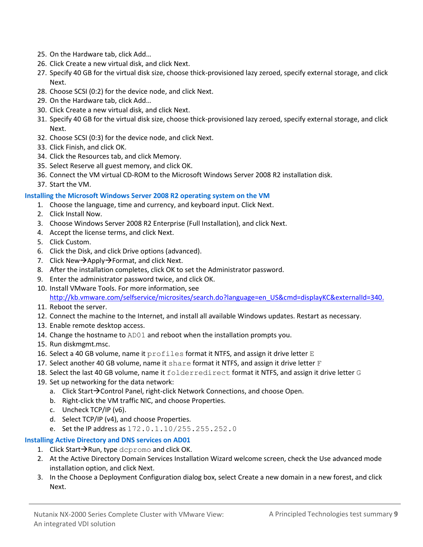- 25. On the Hardware tab, click Add…
- 26. Click Create a new virtual disk, and click Next.
- 27. Specify 40 GB for the virtual disk size, choose thick-provisioned lazy zeroed, specify external storage, and click Next.
- 28. Choose SCSI (0:2) for the device node, and click Next.
- 29. On the Hardware tab, click Add…
- 30. Click Create a new virtual disk, and click Next.
- 31. Specify 40 GB for the virtual disk size, choose thick-provisioned lazy zeroed, specify external storage, and click Next.
- 32. Choose SCSI (0:3) for the device node, and click Next.
- 33. Click Finish, and click OK.
- 34. Click the Resources tab, and click Memory.
- 35. Select Reserve all guest memory, and click OK.
- 36. Connect the VM virtual CD-ROM to the Microsoft Windows Server 2008 R2 installation disk.
- 37. Start the VM.

#### **Installing the Microsoft Windows Server 2008 R2 operating system on the VM**

- 1. Choose the language, time and currency, and keyboard input. Click Next.
- 2. Click Install Now.
- 3. Choose Windows Server 2008 R2 Enterprise (Full Installation), and click Next.
- 4. Accept the license terms, and click Next.
- 5. Click Custom.
- 6. Click the Disk, and click Drive options (advanced).
- 7. Click New $\rightarrow$ Apply $\rightarrow$ Format, and click Next.
- 8. After the installation completes, click OK to set the Administrator password.
- 9. Enter the administrator password twice, and click OK.
- 10. Install VMware Tools. For more information, see [http://kb.vmware.com/selfservice/microsites/search.do?language=en\\_US&cmd=displayKC&externalId=340.](http://kb.vmware.com/selfservice/microsites/search.do?language=en_US&cmd=displayKC&externalId=340)
- 11. Reboot the server.
- 12. Connect the machine to the Internet, and install all available Windows updates. Restart as necessary.
- 13. Enable remote desktop access.
- 14. Change the hostname to AD01 and reboot when the installation prompts you.
- 15. Run diskmgmt.msc.
- 16. Select a 40 GB volume, name it  $\text{profiles}$  format it NTFS, and assign it drive letter  $\text{E}$
- 17. Select another 40 GB volume, name it share format it NTFS, and assign it drive letter  $F$
- 18. Select the last 40 GB volume, name it folderredirect format it NTFS, and assign it drive letter G
- 19. Set up networking for the data network:
	- a. Click Start $\rightarrow$  Control Panel, right-click Network Connections, and choose Open.
	- b. Right-click the VM traffic NIC, and choose Properties.
	- c. Uncheck TCP/IP (v6).
	- d. Select TCP/IP (v4), and choose Properties.
	- e. Set the IP address as 172.0.1.10/255.255.252.0

#### **Installing Active Directory and DNS services on AD01**

- 1. Click Start $\rightarrow$ Run, type dcpromo and click OK.
- 2. At the Active Directory Domain Services Installation Wizard welcome screen, check the Use advanced mode installation option, and click Next.
- 3. In the Choose a Deployment Configuration dialog box, select Create a new domain in a new forest, and click Next.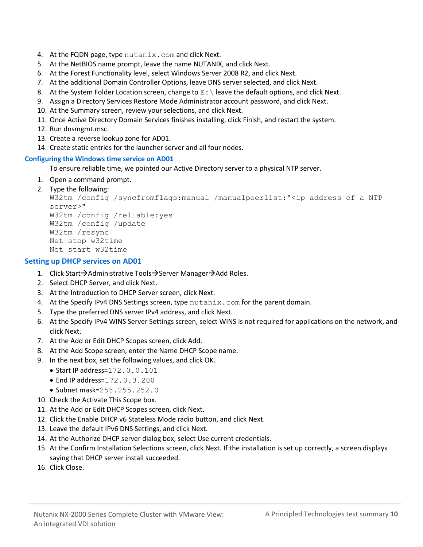- 4. At the FQDN page, type nutanix.com and click Next.
- 5. At the NetBIOS name prompt, leave the name NUTANIX, and click Next.
- 6. At the Forest Functionality level, select Windows Server 2008 R2, and click Next.
- 7. At the additional Domain Controller Options, leave DNS server selected, and click Next.
- 8. At the System Folder Location screen, change to  $E:\ \mathcal{E}$  leave the default options, and click Next.
- 9. Assign a Directory Services Restore Mode Administrator account password, and click Next.
- 10. At the Summary screen, review your selections, and click Next.
- 11. Once Active Directory Domain Services finishes installing, click Finish, and restart the system.
- 12. Run dnsmgmt.msc.
- 13. Create a reverse lookup zone for AD01.
- 14. Create static entries for the launcher server and all four nodes.

#### **Configuring the Windows time service on AD01**

To ensure reliable time, we pointed our Active Directory server to a physical NTP server.

- 1. Open a command prompt.
- 2. Type the following:

```
W32tm /config /syncfromflags:manual /manualpeerlist:"<ip address of a NTP 
server>"
W32tm /config /reliable:yes
W32tm /config /update
W32tm /resync
Net stop w32time
Net start w32time
```
#### **Setting up DHCP services on AD01**

- 1. Click Start $\rightarrow$ Administrative Tools $\rightarrow$ Server Manager $\rightarrow$ Add Roles.
- 2. Select DHCP Server, and click Next.
- 3. At the Introduction to DHCP Server screen, click Next.
- 4. At the Specify IPv4 DNS Settings screen, type nutanix.com for the parent domain.
- 5. Type the preferred DNS server IPv4 address, and click Next.
- 6. At the Specify IPv4 WINS Server Settings screen, select WINS is not required for applications on the network, and click Next.
- 7. At the Add or Edit DHCP Scopes screen, click Add.
- 8. At the Add Scope screen, enter the Name DHCP Scope name.
- 9. In the next box, set the following values, and click OK.
	- Start IP address=172.0.0.101
	- $\bullet$  End IP address=172.0.3.200
	- Subnet mask=255.255.252.0
- 10. Check the Activate This Scope box.
- 11. At the Add or Edit DHCP Scopes screen, click Next.
- 12. Click the Enable DHCP v6 Stateless Mode radio button, and click Next.
- 13. Leave the default IPv6 DNS Settings, and click Next.
- 14. At the Authorize DHCP server dialog box, select Use current credentials.
- 15. At the Confirm Installation Selections screen, click Next. If the installation is set up correctly, a screen displays saying that DHCP server install succeeded.
- 16. Click Close.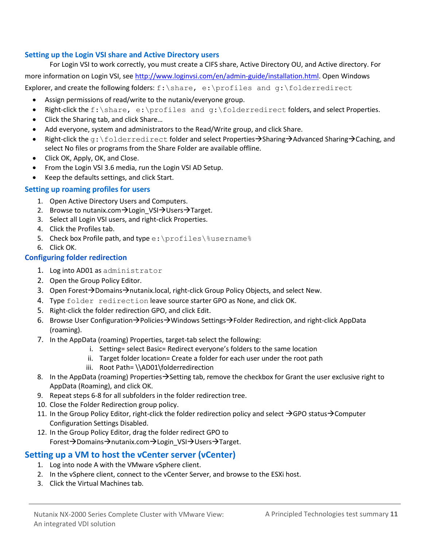#### **Setting up the Login VSI share and Active Directory users**

For Login VSI to work correctly, you must create a CIFS share, Active Directory OU, and Active directory. For more information on Login VSI, se[e http://www.loginvsi.com/en/admin-guide/installation.html.](http://www.loginvsi.com/en/admin-guide/installation.html) Open Windows Explorer, and create the following folders:  $f:\sigma, e:\propto a$  and  $g:\folderredict$ 

- Assign permissions of read/write to the nutanix/everyone group.
- Right-click the f: \share, e: \profiles and g: \folderredirect folders, and select Properties.
- Click the Sharing tab, and click Share...
- Add everyone, system and administrators to the Read/Write group, and click Share.
- Right-click the  $q: \forall$  folderredirect folder and select Properties $\rightarrow$ Sharing $\rightarrow$ Advanced Sharing $\rightarrow$ Caching, and select No files or programs from the Share Folder are available offline.
- Click OK, Apply, OK, and Close.
- From the Login VSI 3.6 media, run the Login VSI AD Setup.
- Keep the defaults settings, and click Start.

#### **Setting up roaming profiles for users**

- 1. Open Active Directory Users and Computers.
- 2. Browse to nutanix.com $\rightarrow$ Login VSI $\rightarrow$ Users $\rightarrow$ Target.
- 3. Select all Login VSI users, and right-click Properties.
- 4. Click the Profiles tab.
- 5. Check box Profile path, and type e: \profiles\%username%
- 6. Click OK.

#### **Configuring folder redirection**

- 1. Log into AD01 as administrator
- 2. Open the Group Policy Editor.
- 3. Open Forest $\rightarrow$ Domains $\rightarrow$ nutanix.local, right-click Group Policy Objects, and select New.
- 4. Type folder redirection leave source starter GPO as None, and click OK.
- 5. Right-click the folder redirection GPO, and click Edit.
- 6. Browse User Configuration $\rightarrow$ Policies $\rightarrow$ Windows Settings $\rightarrow$ Folder Redirection, and right-click AppData (roaming).
- 7. In the AppData (roaming) Properties, target-tab select the following:
	- i. Setting= select Basic= Redirect everyone's folders to the same location
	- ii. Target folder location= Create a folder for each user under the root path
	- iii. Root Path= \\AD01\folderredirection
- 8. In the AppData (roaming) Properties  $\rightarrow$  Setting tab, remove the checkbox for Grant the user exclusive right to AppData (Roaming), and click OK.
- 9. Repeat steps 6-8 for all subfolders in the folder redirection tree.
- 10. Close the Folder Redirection group policy.
- 11. In the Group Policy Editor, right-click the folder redirection policy and select  $\rightarrow$  GPO status $\rightarrow$  Computer Configuration Settings Disabled.
- 12. In the Group Policy Editor, drag the folder redirect GPO to Forest → Domains → nutanix.com → Login\_VSI → Users → Target.

#### **Setting up a VM to host the vCenter server (vCenter)**

- 1. Log into node A with the VMware vSphere client.
- 2. In the vSphere client, connect to the vCenter Server, and browse to the ESXi host.
- 3. Click the Virtual Machines tab.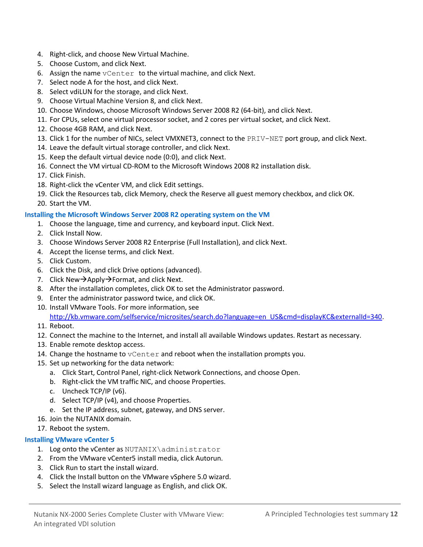- 4. Right-click, and choose New Virtual Machine.
- 5. Choose Custom, and click Next.
- 6. Assign the name vCenter to the virtual machine, and click Next.
- 7. Select node A for the host, and click Next.
- 8. Select vdiLUN for the storage, and click Next.
- 9. Choose Virtual Machine Version 8, and click Next.
- 10. Choose Windows, choose Microsoft Windows Server 2008 R2 (64-bit), and click Next.
- 11. For CPUs, select one virtual processor socket, and 2 cores per virtual socket, and click Next.
- 12. Choose 4GB RAM, and click Next.
- 13. Click 1 for the number of NICs, select VMXNET3, connect to the PRIV-NET port group, and click Next.
- 14. Leave the default virtual storage controller, and click Next.
- 15. Keep the default virtual device node (0:0), and click Next.
- 16. Connect the VM virtual CD-ROM to the Microsoft Windows 2008 R2 installation disk.
- 17. Click Finish.
- 18. Right-click the vCenter VM, and click Edit settings.
- 19. Click the Resources tab, click Memory, check the Reserve all guest memory checkbox, and click OK.
- 20. Start the VM.

#### **Installing the Microsoft Windows Server 2008 R2 operating system on the VM**

- 1. Choose the language, time and currency, and keyboard input. Click Next.
- 2. Click Install Now.
- 3. Choose Windows Server 2008 R2 Enterprise (Full Installation), and click Next.
- 4. Accept the license terms, and click Next.
- 5. Click Custom.
- 6. Click the Disk, and click Drive options (advanced).
- 7. Click New $\rightarrow$ Apply $\rightarrow$ Format, and click Next.
- 8. After the installation completes, click OK to set the Administrator password.
- 9. Enter the administrator password twice, and click OK.
- 10. Install VMware Tools. For more information, see
	- [http://kb.vmware.com/selfservice/microsites/search.do?language=en\\_US&cmd=displayKC&externalId=340.](http://kb.vmware.com/selfservice/microsites/search.do?language=en_US&cmd=displayKC&externalId=340)
- 11. Reboot.
- 12. Connect the machine to the Internet, and install all available Windows updates. Restart as necessary.
- 13. Enable remote desktop access.
- 14. Change the hostname to vCenter and reboot when the installation prompts you.
- 15. Set up networking for the data network:
	- a. Click Start, Control Panel, right-click Network Connections, and choose Open.
	- b. Right-click the VM traffic NIC, and choose Properties.
	- c. Uncheck TCP/IP (v6).
	- d. Select TCP/IP (v4), and choose Properties.
	- e. Set the IP address, subnet, gateway, and DNS server.
- 16. Join the NUTANIX domain.
- 17. Reboot the system.

#### **Installing VMware vCenter 5**

- 1. Log onto the vCenter as NUTANIX\administrator
- 2. From the VMware vCenter5 install media, click Autorun.
- 3. Click Run to start the install wizard.
- 4. Click the Install button on the VMware vSphere 5.0 wizard.
- 5. Select the Install wizard language as English, and click OK.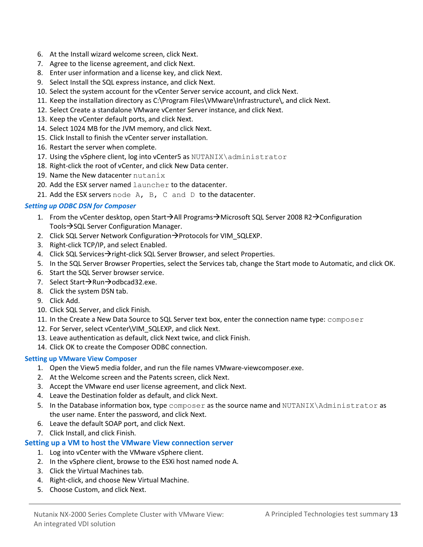- 6. At the Install wizard welcome screen, click Next.
- 7. Agree to the license agreement, and click Next.
- 8. Enter user information and a license key, and click Next.
- 9. Select Install the SQL express instance, and click Next.
- 10. Select the system account for the vCenter Server service account, and click Next.
- 11. Keep the installation directory as C:\Program Files\VMware\Infrastructure\, and click Next.
- 12. Select Create a standalone VMware vCenter Server instance, and click Next.
- 13. Keep the vCenter default ports, and click Next.
- 14. Select 1024 MB for the JVM memory, and click Next.
- 15. Click Install to finish the vCenter server installation.
- 16. Restart the server when complete.
- 17. Using the vSphere client, log into vCenter5 as  $NUTANIX\administrator$
- 18. Right-click the root of vCenter, and click New Data center.
- 19. Name the New datacenter nutanix
- 20. Add the ESX server named launcher to the datacenter.
- 21. Add the ESX servers node  $A$ ,  $B$ ,  $C$  and  $D$  to the datacenter.

#### *Setting up ODBC DSN for Composer*

- 1. From the vCenter desktop, open Start $\rightarrow$ All Programs $\rightarrow$ Microsoft SQL Server 2008 R2 $\rightarrow$ Configuration Tools $\rightarrow$ SQL Server Configuration Manager.
- 2. Click SQL Server Network Configuration  $\rightarrow$  Protocols for VIM\_SQLEXP.
- 3. Right-click TCP/IP, and select Enabled.
- 4. Click SQL Services $\rightarrow$  right-click SQL Server Browser, and select Properties.
- 5. In the SQL Server Browser Properties, select the Services tab, change the Start mode to Automatic, and click OK.
- 6. Start the SQL Server browser service.
- 7. Select Start $\rightarrow$ Run $\rightarrow$ odbcad32.exe.
- 8. Click the system DSN tab.
- 9. Click Add.
- 10. Click SQL Server, and click Finish.
- 11. In the Create a New Data Source to SQL Server text box, enter the connection name type: composer
- 12. For Server, select vCenter\VIM\_SQLEXP, and click Next.
- 13. Leave authentication as default, click Next twice, and click Finish.
- 14. Click OK to create the Composer ODBC connection.

#### **Setting up VMware View Composer**

- 1. Open the View5 media folder, and run the file names VMware-viewcomposer.exe.
- 2. At the Welcome screen and the Patents screen, click Next.
- 3. Accept the VMware end user license agreement, and click Next.
- 4. Leave the Destination folder as default, and click Next.
- 5. In the Database information box, type composer as the source name and NUTANIX\Administrator as the user name. Enter the password, and click Next.
- 6. Leave the default SOAP port, and click Next.
- 7. Click Install, and click Finish.

#### **Setting up a VM to host the VMware View connection server**

1. Log into vCenter with the VMware vSphere client.

- 2. In the vSphere client, browse to the ESXi host named node A.
- 3. Click the Virtual Machines tab.
- 4. Right-click, and choose New Virtual Machine.
- 5. Choose Custom, and click Next.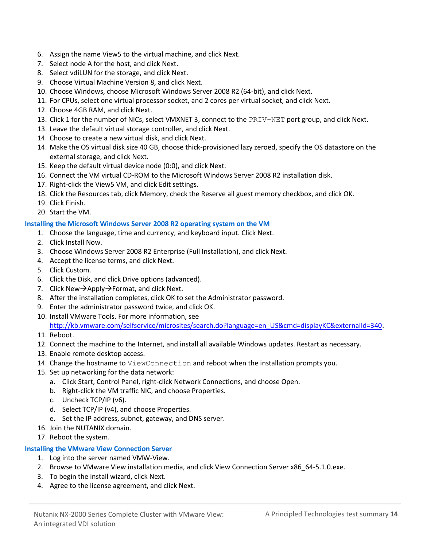- 6. Assign the name View5 to the virtual machine, and click Next.
- 7. Select node A for the host, and click Next.
- 8. Select vdiLUN for the storage, and click Next.
- 9. Choose Virtual Machine Version 8, and click Next.
- 10. Choose Windows, choose Microsoft Windows Server 2008 R2 (64-bit), and click Next.
- 11. For CPUs, select one virtual processor socket, and 2 cores per virtual socket, and click Next.
- 12. Choose 4GB RAM, and click Next.
- 13. Click 1 for the number of NICs, select VMXNET 3, connect to the PRIV-NET port group, and click Next.
- 13. Leave the default virtual storage controller, and click Next.
- 14. Choose to create a new virtual disk, and click Next.
- 14. Make the OS virtual disk size 40 GB, choose thick-provisioned lazy zeroed, specify the OS datastore on the external storage, and click Next.
- 15. Keep the default virtual device node (0:0), and click Next.
- 16. Connect the VM virtual CD-ROM to the Microsoft Windows Server 2008 R2 installation disk.
- 17. Right-click the View5 VM, and click Edit settings.
- 18. Click the Resources tab, click Memory, check the Reserve all guest memory checkbox, and click OK.
- 19. Click Finish.
- 20. Start the VM.

#### **Installing the Microsoft Windows Server 2008 R2 operating system on the VM**

- 1. Choose the language, time and currency, and keyboard input. Click Next.
- 2. Click Install Now.
- 3. Choose Windows Server 2008 R2 Enterprise (Full Installation), and click Next.
- 4. Accept the license terms, and click Next.
- 5. Click Custom.
- 6. Click the Disk, and click Drive options (advanced).
- 7. Click New $\rightarrow$ Apply $\rightarrow$ Format, and click Next.
- 8. After the installation completes, click OK to set the Administrator password.
- 9. Enter the administrator password twice, and click OK.
- 10. Install VMware Tools. For more information, see

[http://kb.vmware.com/selfservice/microsites/search.do?language=en\\_US&cmd=displayKC&externalId=340.](http://kb.vmware.com/selfservice/microsites/search.do?language=en_US&cmd=displayKC&externalId=340) 11. Reboot.

- 12. Connect the machine to the Internet, and install all available Windows updates. Restart as necessary.
- 13. Enable remote desktop access.
- 14. Change the hostname to ViewConnection and reboot when the installation prompts you.
- 15. Set up networking for the data network:
	- a. Click Start, Control Panel, right-click Network Connections, and choose Open.
	- b. Right-click the VM traffic NIC, and choose Properties.
	- c. Uncheck TCP/IP (v6).
	- d. Select TCP/IP (v4), and choose Properties.
	- e. Set the IP address, subnet, gateway, and DNS server.
- 16. Join the NUTANIX domain.
- 17. Reboot the system.

#### **Installing the VMware View Connection Server**

- 1. Log into the server named VMW-View.
- 2. Browse to VMware View installation media, and click View Connection Server x86\_64-5.1.0.exe.
- 3. To begin the install wizard, click Next.
- 4. Agree to the license agreement, and click Next.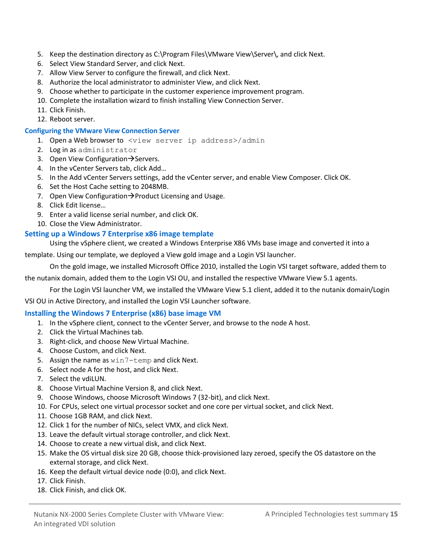- 5. Keep the destination directory as C:\Program Files\VMware View\Server\, and click Next.
- 6. Select View Standard Server, and click Next.
- 7. Allow View Server to configure the firewall, and click Next.
- 8. Authorize the local administrator to administer View, and click Next.
- 9. Choose whether to participate in the customer experience improvement program.
- 10. Complete the installation wizard to finish installing View Connection Server.
- 11. Click Finish.
- 12. Reboot server.

#### **Configuring the VMware View Connection Server**

- 1. Open a Web browser to <view server ip address>/admin
- 2. Log in as administrator
- 3. Open View Configuration  $\rightarrow$  Servers.
- 4. In the vCenter Servers tab, click Add…
- 5. In the Add vCenter Servers settings, add the vCenter server, and enable View Composer. Click OK.
- 6. Set the Host Cache setting to 2048MB.
- 7. Open View Configuration $\rightarrow$  Product Licensing and Usage.
- 8. Click Edit license…
- 9. Enter a valid license serial number, and click OK.
- 10. Close the View Administrator.

#### **Setting up a Windows 7 Enterprise x86 image template**

Using the vSphere client, we created a Windows Enterprise X86 VMs base image and converted it into a

template. Using our template, we deployed a View gold image and a Login VSI launcher.

On the gold image, we installed Microsoft Office 2010, installed the Login VSI target software, added them to

the nutanix domain, added them to the Login VSI OU, and installed the respective VMware View 5.1 agents.

For the Login VSI launcher VM, we installed the VMware View 5.1 client, added it to the nutanix domain/Login

VSI OU in Active Directory, and installed the Login VSI Launcher software.

#### **Installing the Windows 7 Enterprise (x86) base image VM**

- 1. In the vSphere client, connect to the vCenter Server, and browse to the node A host.
- 2. Click the Virtual Machines tab.
- 3. Right-click, and choose New Virtual Machine.
- 4. Choose Custom, and click Next.
- 5. Assign the name as win7-temp and click Next.
- 6. Select node A for the host, and click Next.
- 7. Select the vdiLUN.
- 8. Choose Virtual Machine Version 8, and click Next.
- 9. Choose Windows, choose Microsoft Windows 7 (32-bit), and click Next.
- 10. For CPUs, select one virtual processor socket and one core per virtual socket, and click Next.
- 11. Choose 1GB RAM, and click Next.
- 12. Click 1 for the number of NICs, select VMX, and click Next.
- 13. Leave the default virtual storage controller, and click Next.
- 14. Choose to create a new virtual disk, and click Next.
- 15. Make the OS virtual disk size 20 GB, choose thick-provisioned lazy zeroed, specify the OS datastore on the external storage, and click Next.
- 16. Keep the default virtual device node (0:0), and click Next.
- 17. Click Finish.
- 18. Click Finish, and click OK.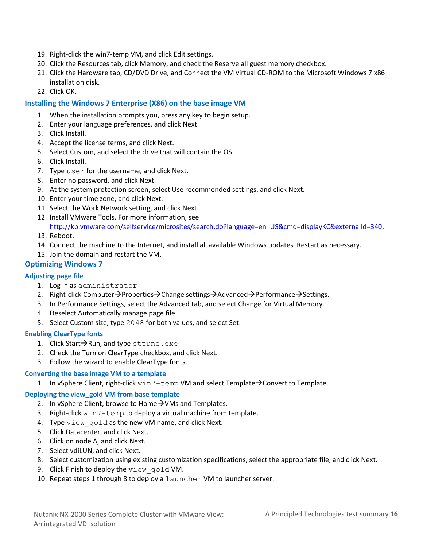- 19. Right-click the win7-temp VM, and click Edit settings.
- 20. Click the Resources tab, click Memory, and check the Reserve all guest memory checkbox.
- 21. Click the Hardware tab, CD/DVD Drive, and Connect the VM virtual CD-ROM to the Microsoft Windows 7 x86 installation disk.
- 22. Click OK.

#### **Installing the Windows 7 Enterprise (X86) on the base image VM**

- 1. When the installation prompts you, press any key to begin setup.
- 2. Enter your language preferences, and click Next.
- 3. Click Install.
- 4. Accept the license terms, and click Next.
- 5. Select Custom, and select the drive that will contain the OS.
- 6. Click Install.
- 7. Type user for the username, and click Next.
- 8. Enter no password, and click Next.
- 9. At the system protection screen, select Use recommended settings, and click Next.
- 10. Enter your time zone, and click Next.
- 11. Select the Work Network setting, and click Next.
- 12. Install VMware Tools. For more information, see
- [http://kb.vmware.com/selfservice/microsites/search.do?language=en\\_US&cmd=displayKC&externalId=340.](http://kb.vmware.com/selfservice/microsites/search.do?language=en_US&cmd=displayKC&externalId=340)
- 13. Reboot.
- 14. Connect the machine to the Internet, and install all available Windows updates. Restart as necessary.
- 15. Join the domain and restart the VM.

#### **Optimizing Windows 7**

#### **Adjusting page file**

- 1. Log in as administrator
- 2. Right-click Computer $\rightarrow$ Properties $\rightarrow$ Change settings $\rightarrow$ Advanced $\rightarrow$ Performance $\rightarrow$ Settings.
- 3. In Performance Settings, select the Advanced tab, and select Change for Virtual Memory.
- 4. Deselect Automatically manage page file.
- 5. Select Custom size, type 2048 for both values, and select Set.

#### **Enabling ClearType fonts**

- 1. Click Start $\rightarrow$ Run, and type cttune.exe
- 2. Check the Turn on ClearType checkbox, and click Next.
- 3. Follow the wizard to enable ClearType fonts.

#### **Converting the base image VM to a template**

1. In vSphere Client, right-click  $win7$  – temp VM and select Template  $\rightarrow$  Convert to Template.

#### **Deploying the view\_gold VM from base template**

- 2. In vSphere Client, browse to Home $\rightarrow$ VMs and Templates.
- 3. Right-click win7-temp to deploy a virtual machine from template.
- 4. Type view gold as the new VM name, and click Next.
- 5. Click Datacenter, and click Next.
- 6. Click on node A, and click Next.
- 7. Select vdiLUN, and click Next.
- 8. Select customization using existing customization specifications, select the appropriate file, and click Next.
- 9. Click Finish to deploy the view\_gold VM.
- 10. Repeat steps 1 through 8 to deploy a launcher VM to launcher server.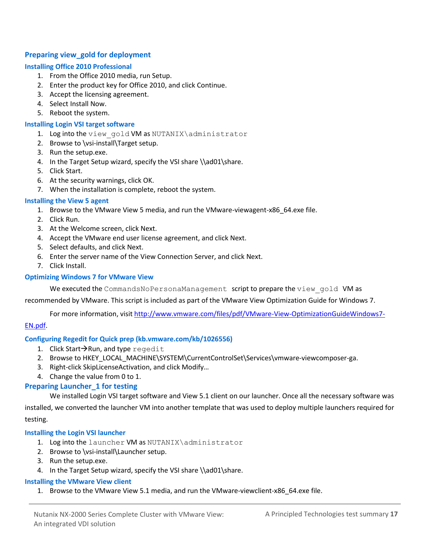#### **Preparing view\_gold for deployment**

#### **Installing Office 2010 Professional**

- 1. From the Office 2010 media, run Setup.
- 2. Enter the product key for Office 2010, and click Continue.
- 3. Accept the licensing agreement.
- 4. Select Install Now.
- 5. Reboot the system.

#### **Installing Login VSI target software**

- 1. Log into the view gold VM as NUTANIX\administrator
- 2. Browse to \vsi-install\Target setup.
- 3. Run the setup.exe.
- 4. In the Target Setup wizard, specify the VSI share \\ad01\share.
- 5. Click Start.
- 6. At the security warnings, click OK.
- 7. When the installation is complete, reboot the system.

#### **Installing the View 5 agent**

- 1. Browse to the VMware View 5 media, and run the VMware-viewagent-x86\_64.exe file.
- 2. Click Run.
- 3. At the Welcome screen, click Next.
- 4. Accept the VMware end user license agreement, and click Next.
- 5. Select defaults, and click Next.
- 6. Enter the server name of the View Connection Server, and click Next.
- 7. Click Install.

#### **Optimizing Windows 7 for VMware View**

We executed the CommandsNoPersonaManagement script to prepare the view gold VM as

recommended by VMware. This script is included as part of the VMware View Optimization Guide for Windows 7.

For more information, visi[t http://www.vmware.com/files/pdf/VMware-View-OptimizationGuideWindows7-](http://www.vmware.com/files/pdf/VMware-View-OptimizationGuideWindows7-EN.pdf)

#### [EN.pdf.](http://www.vmware.com/files/pdf/VMware-View-OptimizationGuideWindows7-EN.pdf)

#### **Configuring Regedit for Quick prep (kb.vmware.com/kb/1026556)**

- 1. Click Start $\rightarrow$ Run, and type regedit
- 2. Browse to HKEY\_LOCAL\_MACHINE\SYSTEM\CurrentControlSet\Services\vmware-viewcomposer-ga.
- 3. Right-click SkipLicenseActivation, and click Modify…
- 4. Change the value from 0 to 1.

#### **Preparing Launcher\_1 for testing**

We installed Login VSI target software and View 5.1 client on our launcher. Once all the necessary software was installed, we converted the launcher VM into another template that was used to deploy multiple launchers required for testing.

#### **Installing the Login VSI launcher**

- 1. Log into the launcher VM as NUTANIX\administrator
- 2. Browse to \vsi-install\Launcher setup.
- 3. Run the setup.exe.
- 4. In the Target Setup wizard, specify the VSI share \\ad01\share.

#### **Installing the VMware View client**

1. Browse to the VMware View 5.1 media, and run the VMware-viewclient-x86\_64.exe file.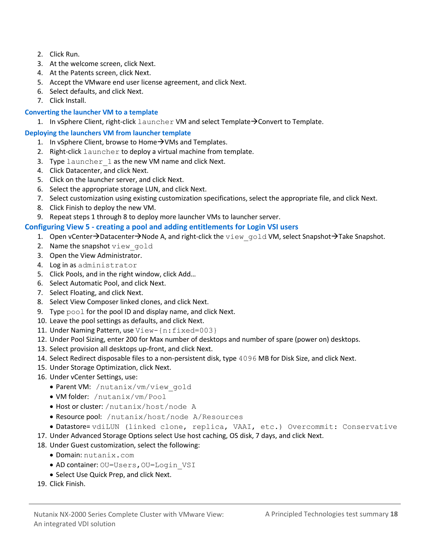- 2. Click Run.
- 3. At the welcome screen, click Next.
- 4. At the Patents screen, click Next.
- 5. Accept the VMware end user license agreement, and click Next.
- 6. Select defaults, and click Next.
- 7. Click Install.

#### **Converting the launcher VM to a template**

1. In vSphere Client, right-click  $l$  auncher VM and select Template $\rightarrow$  Convert to Template.

#### **Deploying the launchers VM from launcher template**

- 1. In vSphere Client, browse to Home  $\rightarrow$  VMs and Templates.
- 2. Right-click launcher to deploy a virtual machine from template.
- 3. Type launcher 1 as the new VM name and click Next.
- 4. Click Datacenter, and click Next.
- 5. Click on the launcher server, and click Next.
- 6. Select the appropriate storage LUN, and click Next.
- 7. Select customization using existing customization specifications, select the appropriate file, and click Next.
- 8. Click Finish to deploy the new VM.
- 9. Repeat steps 1 through 8 to deploy more launcher VMs to launcher server.

#### **Configuring View 5 - creating a pool and adding entitlements for Login VSI users**

- 1. Open vCenter->Datacenter->Node A, and right-click the view gold VM, select Snapshot->Take Snapshot.
- 2. Name the snapshot view gold
- 3. Open the View Administrator.
- 4. Log in as administrator
- 5. Click Pools, and in the right window, click Add…
- 6. Select Automatic Pool, and click Next.
- 7. Select Floating, and click Next.
- 8. Select View Composer linked clones, and click Next.
- 9. Type pool for the pool ID and display name, and click Next.
- 10. Leave the pool settings as defaults, and click Next.
- 11. Under Naming Pattern, use View-{n:fixed=003}
- 12. Under Pool Sizing, enter 200 for Max number of desktops and number of spare (power on) desktops.
- 13. Select provision all desktops up-front, and click Next.
- 14. Select Redirect disposable files to a non-persistent disk, type 4096 MB for Disk Size, and click Next.
- 15. Under Storage Optimization, click Next.
- 16. Under vCenter Settings, use:
	- Parent VM: /nutanix/vm/view gold
	- VM folder: /nutanix/vm/Pool
	- Host or cluster: /nutanix/host/node A
	- Resource pool: /nutanix/host/node A/Resources
	- Datastore= vdiLUN (linked clone, replica, VAAI, etc.) Overcommit: Conservative
- 17. Under Advanced Storage Options select Use host caching, OS disk, 7 days, and click Next.
- 18. Under Guest customization, select the following:
	- Domain: nutanix.com
	- AD container: OU=Users,OU=Login\_VSI
	- Select Use Quick Prep, and click Next.
- 19. Click Finish.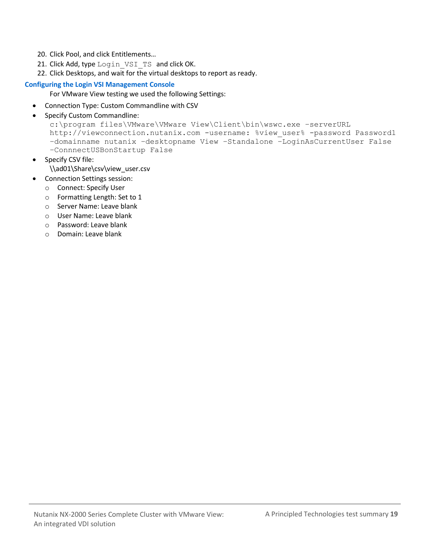- 20. Click Pool, and click Entitlements…
- 21. Click Add, type Login VSI TS and click OK.
- 22. Click Desktops, and wait for the virtual desktops to report as ready.

#### **Configuring the Login VSI Management Console**

For VMware View testing we used the following Settings:

- Connection Type: Custom Commandline with CSV
- Specify Custom Commandline:

```
c:\program files\VMware\VMware View\Client\bin\wswc.exe –serverURL 
http://viewconnection.nutanix.com -username: %view user% -password Password1
–domainname nutanix –desktopname View –Standalone –LoginAsCurrentUser False 
–ConnnectUSBonStartup False
```
• Specify CSV file:

\\ad01\Share\csv\view\_user.csv

- Connection Settings session:
	- o Connect: Specify User
	- o Formatting Length: Set to 1
	- o Server Name: Leave blank
	- o User Name: Leave blank
	- o Password: Leave blank
	- o Domain: Leave blank